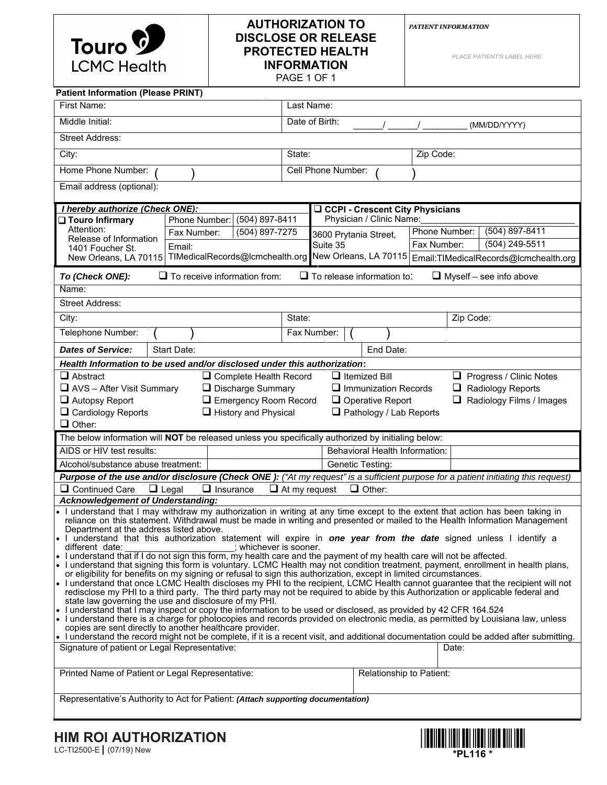

# **AUTHORIZATION TO DISCLOSE OR RELEASE PROTECTED HEALTH INFORMATION**  PAGE 1 OF 1

*PATIENT INFORMATION*

*PLACE PATIENT'S LABEL HERE*

| <b>Patient Information (Please PRINT)</b>                                                                                                                                                                                                                     |                                |                                                                                                                   |                             |               |           |                                 |  |  |  |
|---------------------------------------------------------------------------------------------------------------------------------------------------------------------------------------------------------------------------------------------------------------|--------------------------------|-------------------------------------------------------------------------------------------------------------------|-----------------------------|---------------|-----------|---------------------------------|--|--|--|
| First Name:                                                                                                                                                                                                                                                   | Last Name:                     |                                                                                                                   |                             |               |           |                                 |  |  |  |
| Middle Initial:                                                                                                                                                                                                                                               | Date of Birth:<br>(MM/DD/YYYY) |                                                                                                                   |                             |               |           |                                 |  |  |  |
| <b>Street Address:</b>                                                                                                                                                                                                                                        |                                |                                                                                                                   |                             |               |           |                                 |  |  |  |
| City:                                                                                                                                                                                                                                                         |                                | State:                                                                                                            |                             |               | Zip Code: |                                 |  |  |  |
| Home Phone Number:                                                                                                                                                                                                                                            | Cell Phone Number:             |                                                                                                                   |                             |               |           |                                 |  |  |  |
| Email address (optional):                                                                                                                                                                                                                                     |                                |                                                                                                                   |                             |               |           |                                 |  |  |  |
| I hereby authorize (Check ONE):<br><b>Q CCPI - Crescent City Physicians</b>                                                                                                                                                                                   |                                |                                                                                                                   |                             |               |           |                                 |  |  |  |
| Phone Number: (504) 897-8411<br>□ Touro Infirmary                                                                                                                                                                                                             | Physician / Clinic Name:       |                                                                                                                   |                             |               |           |                                 |  |  |  |
| Attention:<br>(504) 897-7275<br>Fax Number:<br>Release of Information                                                                                                                                                                                         |                                | 3600 Prytania Street,                                                                                             |                             | Phone Number: |           | $(504) 897 - 8411$              |  |  |  |
| Email:<br>1401 Foucher St.                                                                                                                                                                                                                                    | Suite 35                       |                                                                                                                   |                             | Fax Number:   |           | (504) 249-5511                  |  |  |  |
|                                                                                                                                                                                                                                                               |                                | New Orleans, LA 70115 TIMedicalRecords@Icmchealth.org New Orleans, LA 70115 Email:TIMedicalRecords@Icmchealth.org |                             |               |           |                                 |  |  |  |
| To (Check ONE): %oTo receive information from:<br>To release information to:<br>Myself – see info above □ Through Patient Portal                                                                                                                              |                                |                                                                                                                   |                             |               |           |                                 |  |  |  |
| Name:                                                                                                                                                                                                                                                         |                                |                                                                                                                   |                             |               |           |                                 |  |  |  |
| Street Address:                                                                                                                                                                                                                                               |                                |                                                                                                                   |                             |               |           |                                 |  |  |  |
| $\overline{City}$ :                                                                                                                                                                                                                                           | State:                         |                                                                                                                   | Zip Code:                   |               |           |                                 |  |  |  |
| Telephone Number:                                                                                                                                                                                                                                             |                                | Fax Number:                                                                                                       |                             |               |           |                                 |  |  |  |
| Health Information to be used and/or disclosed under this authorization:                                                                                                                                                                                      |                                |                                                                                                                   |                             |               |           |                                 |  |  |  |
| <b>Dates of Service:</b><br>Start Date:                                                                                                                                                                                                                       |                                |                                                                                                                   | End Date:                   |               |           |                                 |  |  |  |
| $\Box$ Abstract<br>$\Box$ Complete Health Record                                                                                                                                                                                                              |                                |                                                                                                                   | $\Box$ Itemized Bill        |               |           | $\Box$ Progress / Clinic Notes  |  |  |  |
| $\Box$ AVS - After Visit Summary<br>$\Box$ Discharge Summary                                                                                                                                                                                                  |                                |                                                                                                                   | $\Box$ Immunization Records |               |           | $\Box$ Radiology Reports        |  |  |  |
| $\Box$ Autopsy Report<br>$\Box$ Emergency Room Record                                                                                                                                                                                                         |                                |                                                                                                                   | $\Box$ Operative Report     |               |           | $\Box$ Radiology Films / Images |  |  |  |
| $\Box$ Cardiology Reports<br>$\Box$ History and Physical<br>$\Box$ Pathology / Lab Reports                                                                                                                                                                    |                                |                                                                                                                   |                             |               |           |                                 |  |  |  |
| $\Box$ Other:<br>The below information will NOT be released unless you specifically authorized by initialing below:                                                                                                                                           |                                |                                                                                                                   |                             |               |           |                                 |  |  |  |
| AIDS or HIV test results:                                                                                                                                                                                                                                     |                                |                                                                                                                   |                             |               |           |                                 |  |  |  |
| Alcohol/substance abuse treatment:                                                                                                                                                                                                                            |                                | Behavioral Health Information:<br>Genetic Testing:                                                                |                             |               |           |                                 |  |  |  |
| Purpose of the use and/or disclosure (Check ONE): ("At my request" is a sufficient purpose for a patient initiating this request)                                                                                                                             |                                |                                                                                                                   |                             |               |           |                                 |  |  |  |
| $\Box$ Legal<br>Continued Care<br>$\Box$ Insurance                                                                                                                                                                                                            | $\Box$ At my request           |                                                                                                                   | $\Box$ Other:               |               |           |                                 |  |  |  |
| <b>Acknowledgement of Understanding:</b>                                                                                                                                                                                                                      |                                |                                                                                                                   |                             |               |           |                                 |  |  |  |
| . I understand that I may withdraw my authorization in writing at any time except to the extent that action has been taking in<br>reliance on this statement. Withdrawal must be made in writing and presented or mailed to the Health Information Management |                                |                                                                                                                   |                             |               |           |                                 |  |  |  |
| Department at the address listed above.<br>. I understand that this authorization statement will expire in one year from the date signed unless I identify a                                                                                                  |                                |                                                                                                                   |                             |               |           |                                 |  |  |  |
| ; whichever is sooner.<br>different date:<br>. I understand that if I do not sign this form, my health care and the payment of my health care will not be affected.                                                                                           |                                |                                                                                                                   |                             |               |           |                                 |  |  |  |
| If an entity position that signing this form is voluntary. LCMC Health may not condition treatment, payment, enrollment in health plans,                                                                                                                      |                                |                                                                                                                   |                             |               |           |                                 |  |  |  |
| or eligibility for benefits on my signing or refusal to sign this authorization, except in limited circumstances.<br>• I understand that once LCMC Health discloses my PHI to the recipient, LCMC Health cannot guarantee that the recipient will not         |                                |                                                                                                                   |                             |               |           |                                 |  |  |  |
| redisclose my PHI to a third party. The third party may not be required to abide by this Authorization or applicable federal and                                                                                                                              |                                |                                                                                                                   |                             |               |           |                                 |  |  |  |
| state law governing the use and disclosure of my PHI.<br>I understand that I may inspect or copy the information to be used or disclosed, as provided by 42 CFR 164.524                                                                                       |                                |                                                                                                                   |                             |               |           |                                 |  |  |  |
| I understand there is a charge for photocopies and records provided on electronic media, as permitted by Louisiana law, unless                                                                                                                                |                                |                                                                                                                   |                             |               |           |                                 |  |  |  |
| copies are sent directly to another healthcare provider.<br>• I understand the record might not be complete, if it is a recent visit, and additional documentation could be added after submitting.                                                           |                                |                                                                                                                   |                             |               |           |                                 |  |  |  |
| Signature of patient or Legal Representative:                                                                                                                                                                                                                 |                                |                                                                                                                   |                             |               | Date:     |                                 |  |  |  |
|                                                                                                                                                                                                                                                               |                                |                                                                                                                   |                             |               |           |                                 |  |  |  |
| Printed Name of Patient or Legal Representative:                                                                                                                                                                                                              |                                | Relationship to Patient:                                                                                          |                             |               |           |                                 |  |  |  |
| Representative's Authority to Act for Patient: (Attach supporting documentation)                                                                                                                                                                              |                                |                                                                                                                   |                             |               |           |                                 |  |  |  |
|                                                                                                                                                                                                                                                               |                                |                                                                                                                   |                             |               |           |                                 |  |  |  |
| LIIM DOL ALITUODIZATIONI                                                                                                                                                                                                                                      |                                |                                                                                                                   |                             |               |           |                                 |  |  |  |